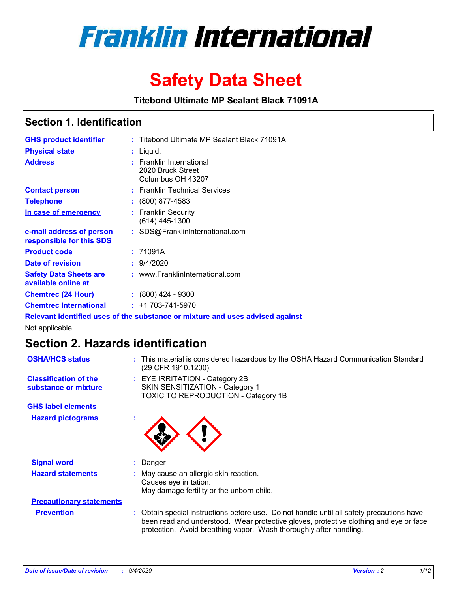

# **Safety Data Sheet**

**Titebond Ultimate MP Sealant Black 71091A**

### **Section 1. Identification**

| <b>GHS product identifier</b>                                                 |  | : Titebond Ultimate MP Sealant Black 71091A                        |  |  |
|-------------------------------------------------------------------------------|--|--------------------------------------------------------------------|--|--|
| <b>Physical state</b>                                                         |  | $:$ Liquid.                                                        |  |  |
| <b>Address</b>                                                                |  | : Franklin International<br>2020 Bruck Street<br>Columbus OH 43207 |  |  |
| <b>Contact person</b>                                                         |  | : Franklin Technical Services                                      |  |  |
| <b>Telephone</b>                                                              |  | $\colon$ (800) 877-4583                                            |  |  |
| In case of emergency                                                          |  | : Franklin Security<br>(614) 445-1300                              |  |  |
| e-mail address of person<br>responsible for this SDS                          |  | : SDS@FranklinInternational.com                                    |  |  |
| <b>Product code</b>                                                           |  | : 71091A                                                           |  |  |
| Date of revision                                                              |  | : 9/4/2020                                                         |  |  |
| <b>Safety Data Sheets are</b><br>available online at                          |  | : www.FranklinInternational.com                                    |  |  |
| <b>Chemtrec (24 Hour)</b>                                                     |  | $: (800)$ 424 - 9300                                               |  |  |
| <b>Chemtrec International</b>                                                 |  | $: +1703 - 741 - 5970$                                             |  |  |
| Relevant identified uses of the substance or mixture and uses advised against |  |                                                                    |  |  |

Not applicable.

### **Section 2. Hazards identification**

| <b>OSHA/HCS status</b>                               |    | : This material is considered hazardous by the OSHA Hazard Communication Standard<br>(29 CFR 1910.1200).                                                                                                                                                 |  |  |
|------------------------------------------------------|----|----------------------------------------------------------------------------------------------------------------------------------------------------------------------------------------------------------------------------------------------------------|--|--|
| <b>Classification of the</b><br>substance or mixture |    | : EYE IRRITATION - Category 2B<br>SKIN SENSITIZATION - Category 1<br>TOXIC TO REPRODUCTION - Category 1B                                                                                                                                                 |  |  |
| <b>GHS label elements</b>                            |    |                                                                                                                                                                                                                                                          |  |  |
| <b>Hazard pictograms</b>                             | ×. |                                                                                                                                                                                                                                                          |  |  |
| <b>Signal word</b>                                   | ÷. | Danger                                                                                                                                                                                                                                                   |  |  |
| <b>Hazard statements</b>                             |    | May cause an allergic skin reaction.<br>Causes eye irritation.<br>May damage fertility or the unborn child.                                                                                                                                              |  |  |
| <b>Precautionary statements</b>                      |    |                                                                                                                                                                                                                                                          |  |  |
| <b>Prevention</b>                                    |    | : Obtain special instructions before use. Do not handle until all safety precautions have<br>been read and understood. Wear protective gloves, protective clothing and eye or face<br>protection. Avoid breathing vapor. Wash thoroughly after handling. |  |  |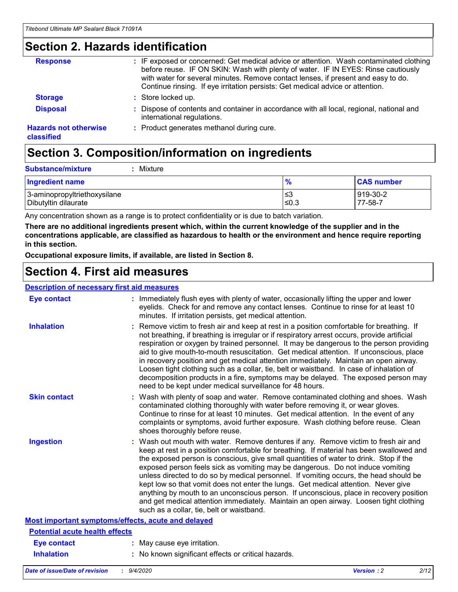### **Section 2. Hazards identification**

| <b>Response</b>                            | : IF exposed or concerned: Get medical advice or attention. Wash contaminated clothing<br>before reuse. IF ON SKIN: Wash with plenty of water. IF IN EYES: Rinse cautiously<br>with water for several minutes. Remove contact lenses, if present and easy to do.<br>Continue rinsing. If eye irritation persists: Get medical advice or attention. |
|--------------------------------------------|----------------------------------------------------------------------------------------------------------------------------------------------------------------------------------------------------------------------------------------------------------------------------------------------------------------------------------------------------|
| <b>Storage</b>                             | : Store locked up.                                                                                                                                                                                                                                                                                                                                 |
| <b>Disposal</b>                            | : Dispose of contents and container in accordance with all local, regional, national and<br>international regulations.                                                                                                                                                                                                                             |
| <b>Hazards not otherwise</b><br>classified | : Product generates methanol during cure.                                                                                                                                                                                                                                                                                                          |

# **Section 3. Composition/information on ingredients**

| <b>Ingredient name</b>       | $\frac{9}{6}$ | <b>CAS number</b> |
|------------------------------|---------------|-------------------|
| 3-aminopropyltriethoxysilane | ≤3            | 919-30-2          |
| Dibutyltin dilaurate         | ∣≤0.3         | 77-58-7           |

Any concentration shown as a range is to protect confidentiality or is due to batch variation.

**There are no additional ingredients present which, within the current knowledge of the supplier and in the concentrations applicable, are classified as hazardous to health or the environment and hence require reporting in this section.**

**Occupational exposure limits, if available, are listed in Section 8.**

### **Section 4. First aid measures**

| <b>Description of necessary first aid measures</b> |                                                                                                                                                                                                                                                                                                                                                                                                                                                                                                                                                                                                                                                                                                                                                                           |
|----------------------------------------------------|---------------------------------------------------------------------------------------------------------------------------------------------------------------------------------------------------------------------------------------------------------------------------------------------------------------------------------------------------------------------------------------------------------------------------------------------------------------------------------------------------------------------------------------------------------------------------------------------------------------------------------------------------------------------------------------------------------------------------------------------------------------------------|
| <b>Eye contact</b>                                 | : Immediately flush eyes with plenty of water, occasionally lifting the upper and lower<br>eyelids. Check for and remove any contact lenses. Continue to rinse for at least 10<br>minutes. If irritation persists, get medical attention.                                                                                                                                                                                                                                                                                                                                                                                                                                                                                                                                 |
| <b>Inhalation</b>                                  | : Remove victim to fresh air and keep at rest in a position comfortable for breathing. If<br>not breathing, if breathing is irregular or if respiratory arrest occurs, provide artificial<br>respiration or oxygen by trained personnel. It may be dangerous to the person providing<br>aid to give mouth-to-mouth resuscitation. Get medical attention. If unconscious, place<br>in recovery position and get medical attention immediately. Maintain an open airway.<br>Loosen tight clothing such as a collar, tie, belt or waistband. In case of inhalation of<br>decomposition products in a fire, symptoms may be delayed. The exposed person may<br>need to be kept under medical surveillance for 48 hours.                                                       |
| <b>Skin contact</b>                                | : Wash with plenty of soap and water. Remove contaminated clothing and shoes. Wash<br>contaminated clothing thoroughly with water before removing it, or wear gloves.<br>Continue to rinse for at least 10 minutes. Get medical attention. In the event of any<br>complaints or symptoms, avoid further exposure. Wash clothing before reuse. Clean<br>shoes thoroughly before reuse.                                                                                                                                                                                                                                                                                                                                                                                     |
| <b>Ingestion</b>                                   | : Wash out mouth with water. Remove dentures if any. Remove victim to fresh air and<br>keep at rest in a position comfortable for breathing. If material has been swallowed and<br>the exposed person is conscious, give small quantities of water to drink. Stop if the<br>exposed person feels sick as vomiting may be dangerous. Do not induce vomiting<br>unless directed to do so by medical personnel. If vomiting occurs, the head should be<br>kept low so that vomit does not enter the lungs. Get medical attention. Never give<br>anything by mouth to an unconscious person. If unconscious, place in recovery position<br>and get medical attention immediately. Maintain an open airway. Loosen tight clothing<br>such as a collar, tie, belt or waistband. |
| Most important symptoms/effects, acute and delayed |                                                                                                                                                                                                                                                                                                                                                                                                                                                                                                                                                                                                                                                                                                                                                                           |
| <b>Potential acute health effects</b>              |                                                                                                                                                                                                                                                                                                                                                                                                                                                                                                                                                                                                                                                                                                                                                                           |
| <b>Eye contact</b>                                 | : May cause eye irritation.                                                                                                                                                                                                                                                                                                                                                                                                                                                                                                                                                                                                                                                                                                                                               |
| <b>Inhalation</b>                                  | : No known significant effects or critical hazards.                                                                                                                                                                                                                                                                                                                                                                                                                                                                                                                                                                                                                                                                                                                       |
|                                                    |                                                                                                                                                                                                                                                                                                                                                                                                                                                                                                                                                                                                                                                                                                                                                                           |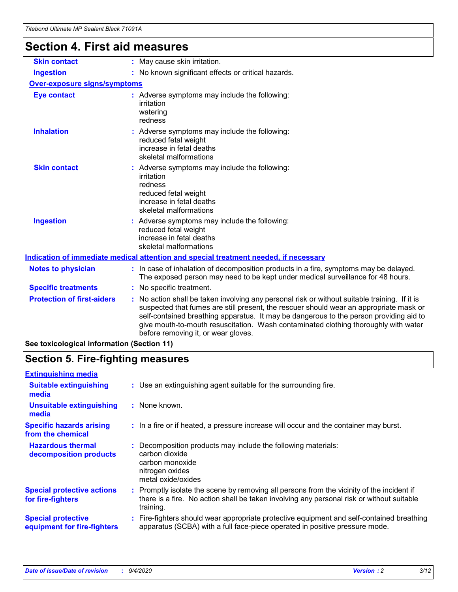# **Section 4. First aid measures**

| <b>Skin contact</b>                 |                                                                                                                                                                                                                                                                                                                                                                                                                 | : May cause skin irritation.                                                                                                                                             |  |  |
|-------------------------------------|-----------------------------------------------------------------------------------------------------------------------------------------------------------------------------------------------------------------------------------------------------------------------------------------------------------------------------------------------------------------------------------------------------------------|--------------------------------------------------------------------------------------------------------------------------------------------------------------------------|--|--|
| <b>Ingestion</b>                    |                                                                                                                                                                                                                                                                                                                                                                                                                 | : No known significant effects or critical hazards.                                                                                                                      |  |  |
| <b>Over-exposure signs/symptoms</b> |                                                                                                                                                                                                                                                                                                                                                                                                                 |                                                                                                                                                                          |  |  |
| <b>Eye contact</b>                  |                                                                                                                                                                                                                                                                                                                                                                                                                 | : Adverse symptoms may include the following:<br>irritation<br>watering<br>redness                                                                                       |  |  |
| <b>Inhalation</b>                   |                                                                                                                                                                                                                                                                                                                                                                                                                 | : Adverse symptoms may include the following:<br>reduced fetal weight<br>increase in fetal deaths<br>skeletal malformations                                              |  |  |
| <b>Skin contact</b>                 |                                                                                                                                                                                                                                                                                                                                                                                                                 | : Adverse symptoms may include the following:<br>irritation<br>redness<br>reduced fetal weight<br>increase in fetal deaths<br>skeletal malformations                     |  |  |
| <b>Ingestion</b>                    |                                                                                                                                                                                                                                                                                                                                                                                                                 | : Adverse symptoms may include the following:<br>reduced fetal weight<br>increase in fetal deaths<br>skeletal malformations                                              |  |  |
|                                     |                                                                                                                                                                                                                                                                                                                                                                                                                 | <u>Indication of immediate medical attention and special treatment needed, if necessary</u>                                                                              |  |  |
| <b>Notes to physician</b>           |                                                                                                                                                                                                                                                                                                                                                                                                                 | : In case of inhalation of decomposition products in a fire, symptoms may be delayed.<br>The exposed person may need to be kept under medical surveillance for 48 hours. |  |  |
| <b>Specific treatments</b>          |                                                                                                                                                                                                                                                                                                                                                                                                                 | : No specific treatment.                                                                                                                                                 |  |  |
| <b>Protection of first-aiders</b>   | : No action shall be taken involving any personal risk or without suitable training. If it is<br>suspected that fumes are still present, the rescuer should wear an appropriate mask or<br>self-contained breathing apparatus. It may be dangerous to the person providing aid to<br>give mouth-to-mouth resuscitation. Wash contaminated clothing thoroughly with water<br>before removing it, or wear gloves. |                                                                                                                                                                          |  |  |
|                                     |                                                                                                                                                                                                                                                                                                                                                                                                                 |                                                                                                                                                                          |  |  |

**See toxicological information (Section 11)**

### **Section 5. Fire-fighting measures**

| <b>Extinguishing media</b>                               |                                                                                                                                                                                                     |
|----------------------------------------------------------|-----------------------------------------------------------------------------------------------------------------------------------------------------------------------------------------------------|
| <b>Suitable extinguishing</b><br>media                   | : Use an extinguishing agent suitable for the surrounding fire.                                                                                                                                     |
| <b>Unsuitable extinguishing</b><br>media                 | $:$ None known.                                                                                                                                                                                     |
| <b>Specific hazards arising</b><br>from the chemical     | : In a fire or if heated, a pressure increase will occur and the container may burst.                                                                                                               |
| <b>Hazardous thermal</b><br>decomposition products       | Decomposition products may include the following materials:<br>carbon dioxide<br>carbon monoxide<br>nitrogen oxides<br>metal oxide/oxides                                                           |
| <b>Special protective actions</b><br>for fire-fighters   | : Promptly isolate the scene by removing all persons from the vicinity of the incident if<br>there is a fire. No action shall be taken involving any personal risk or without suitable<br>training. |
| <b>Special protective</b><br>equipment for fire-fighters | : Fire-fighters should wear appropriate protective equipment and self-contained breathing<br>apparatus (SCBA) with a full face-piece operated in positive pressure mode.                            |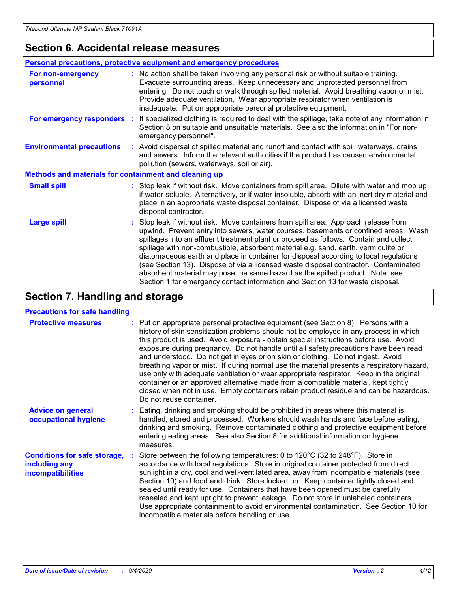### **Section 6. Accidental release measures**

|                                                              | <b>Personal precautions, protective equipment and emergency procedures</b>                                                                                                                                                                                                                                                                                                                                                                                                                                                                                                                                                                                                                                   |  |  |  |
|--------------------------------------------------------------|--------------------------------------------------------------------------------------------------------------------------------------------------------------------------------------------------------------------------------------------------------------------------------------------------------------------------------------------------------------------------------------------------------------------------------------------------------------------------------------------------------------------------------------------------------------------------------------------------------------------------------------------------------------------------------------------------------------|--|--|--|
| For non-emergency<br>personnel                               | : No action shall be taken involving any personal risk or without suitable training.<br>Evacuate surrounding areas. Keep unnecessary and unprotected personnel from<br>entering. Do not touch or walk through spilled material. Avoid breathing vapor or mist.<br>Provide adequate ventilation. Wear appropriate respirator when ventilation is<br>inadequate. Put on appropriate personal protective equipment.                                                                                                                                                                                                                                                                                             |  |  |  |
| For emergency responders                                     | : If specialized clothing is required to deal with the spillage, take note of any information in<br>Section 8 on suitable and unsuitable materials. See also the information in "For non-<br>emergency personnel".                                                                                                                                                                                                                                                                                                                                                                                                                                                                                           |  |  |  |
| <b>Environmental precautions</b>                             | : Avoid dispersal of spilled material and runoff and contact with soil, waterways, drains<br>and sewers. Inform the relevant authorities if the product has caused environmental<br>pollution (sewers, waterways, soil or air).                                                                                                                                                                                                                                                                                                                                                                                                                                                                              |  |  |  |
| <b>Methods and materials for containment and cleaning up</b> |                                                                                                                                                                                                                                                                                                                                                                                                                                                                                                                                                                                                                                                                                                              |  |  |  |
| <b>Small spill</b>                                           | : Stop leak if without risk. Move containers from spill area. Dilute with water and mop up<br>if water-soluble. Alternatively, or if water-insoluble, absorb with an inert dry material and<br>place in an appropriate waste disposal container. Dispose of via a licensed waste<br>disposal contractor.                                                                                                                                                                                                                                                                                                                                                                                                     |  |  |  |
| <b>Large spill</b>                                           | : Stop leak if without risk. Move containers from spill area. Approach release from<br>upwind. Prevent entry into sewers, water courses, basements or confined areas. Wash<br>spillages into an effluent treatment plant or proceed as follows. Contain and collect<br>spillage with non-combustible, absorbent material e.g. sand, earth, vermiculite or<br>diatomaceous earth and place in container for disposal according to local regulations<br>(see Section 13). Dispose of via a licensed waste disposal contractor. Contaminated<br>absorbent material may pose the same hazard as the spilled product. Note: see<br>Section 1 for emergency contact information and Section 13 for waste disposal. |  |  |  |

### **Section 7. Handling and storage**

#### **Precautions for safe handling**

| <b>Protective measures</b>                                                       | : Put on appropriate personal protective equipment (see Section 8). Persons with a<br>history of skin sensitization problems should not be employed in any process in which<br>this product is used. Avoid exposure - obtain special instructions before use. Avoid<br>exposure during pregnancy. Do not handle until all safety precautions have been read<br>and understood. Do not get in eyes or on skin or clothing. Do not ingest. Avoid<br>breathing vapor or mist. If during normal use the material presents a respiratory hazard,<br>use only with adequate ventilation or wear appropriate respirator. Keep in the original<br>container or an approved alternative made from a compatible material, kept tightly<br>closed when not in use. Empty containers retain product residue and can be hazardous.<br>Do not reuse container. |
|----------------------------------------------------------------------------------|--------------------------------------------------------------------------------------------------------------------------------------------------------------------------------------------------------------------------------------------------------------------------------------------------------------------------------------------------------------------------------------------------------------------------------------------------------------------------------------------------------------------------------------------------------------------------------------------------------------------------------------------------------------------------------------------------------------------------------------------------------------------------------------------------------------------------------------------------|
| <b>Advice on general</b><br>occupational hygiene                                 | : Eating, drinking and smoking should be prohibited in areas where this material is<br>handled, stored and processed. Workers should wash hands and face before eating,<br>drinking and smoking. Remove contaminated clothing and protective equipment before<br>entering eating areas. See also Section 8 for additional information on hygiene<br>measures.                                                                                                                                                                                                                                                                                                                                                                                                                                                                                    |
| <b>Conditions for safe storage,</b><br>including any<br><i>incompatibilities</i> | : Store between the following temperatures: 0 to $120^{\circ}$ C (32 to $248^{\circ}$ F). Store in<br>accordance with local regulations. Store in original container protected from direct<br>sunlight in a dry, cool and well-ventilated area, away from incompatible materials (see<br>Section 10) and food and drink. Store locked up. Keep container tightly closed and<br>sealed until ready for use. Containers that have been opened must be carefully<br>resealed and kept upright to prevent leakage. Do not store in unlabeled containers.<br>Use appropriate containment to avoid environmental contamination. See Section 10 for<br>incompatible materials before handling or use.                                                                                                                                                   |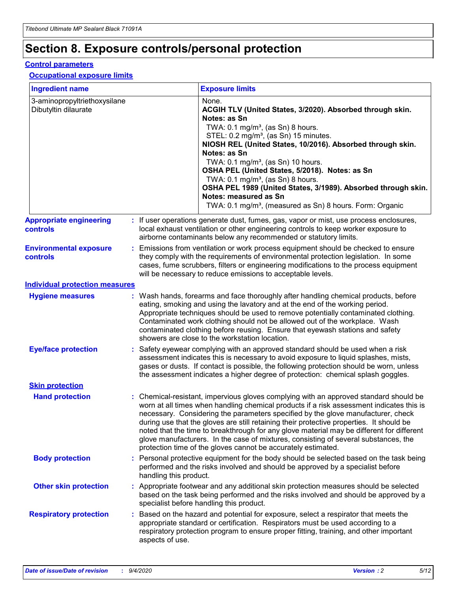## **Section 8. Exposure controls/personal protection**

#### **Control parameters**

#### **Occupational exposure limits**

| <b>Ingredient name</b>                               |    |                        | <b>Exposure limits</b>                                                                                                                                                                                                                                                                                                                                                                                                                                                                                                                                                                                                 |
|------------------------------------------------------|----|------------------------|------------------------------------------------------------------------------------------------------------------------------------------------------------------------------------------------------------------------------------------------------------------------------------------------------------------------------------------------------------------------------------------------------------------------------------------------------------------------------------------------------------------------------------------------------------------------------------------------------------------------|
| 3-aminopropyltriethoxysilane<br>Dibutyltin dilaurate |    |                        | None.<br>ACGIH TLV (United States, 3/2020). Absorbed through skin.<br>Notes: as Sn<br>TWA: $0.1 \text{ mg/m}^3$ , (as Sn) 8 hours.<br>STEL: 0.2 mg/m <sup>3</sup> , (as Sn) 15 minutes.<br>NIOSH REL (United States, 10/2016). Absorbed through skin.<br>Notes: as Sn<br>TWA: 0.1 mg/m <sup>3</sup> , (as Sn) 10 hours.<br>OSHA PEL (United States, 5/2018). Notes: as Sn<br>TWA: $0.1 \text{ mg/m}^3$ , (as Sn) 8 hours.<br>OSHA PEL 1989 (United States, 3/1989). Absorbed through skin.<br>Notes: measured as Sn<br>TWA: 0.1 mg/m <sup>3</sup> , (measured as Sn) 8 hours. Form: Organic                            |
| <b>Appropriate engineering</b><br>controls           |    |                        | : If user operations generate dust, fumes, gas, vapor or mist, use process enclosures,<br>local exhaust ventilation or other engineering controls to keep worker exposure to<br>airborne contaminants below any recommended or statutory limits.                                                                                                                                                                                                                                                                                                                                                                       |
| <b>Environmental exposure</b><br>controls            |    |                        | Emissions from ventilation or work process equipment should be checked to ensure<br>they comply with the requirements of environmental protection legislation. In some<br>cases, fume scrubbers, filters or engineering modifications to the process equipment<br>will be necessary to reduce emissions to acceptable levels.                                                                                                                                                                                                                                                                                          |
| <b>Individual protection measures</b>                |    |                        |                                                                                                                                                                                                                                                                                                                                                                                                                                                                                                                                                                                                                        |
| <b>Hygiene measures</b>                              |    |                        | : Wash hands, forearms and face thoroughly after handling chemical products, before<br>eating, smoking and using the lavatory and at the end of the working period.<br>Appropriate techniques should be used to remove potentially contaminated clothing.<br>Contaminated work clothing should not be allowed out of the workplace. Wash<br>contaminated clothing before reusing. Ensure that eyewash stations and safety<br>showers are close to the workstation location.                                                                                                                                            |
| <b>Eye/face protection</b>                           |    |                        | : Safety eyewear complying with an approved standard should be used when a risk<br>assessment indicates this is necessary to avoid exposure to liquid splashes, mists,<br>gases or dusts. If contact is possible, the following protection should be worn, unless<br>the assessment indicates a higher degree of protection: chemical splash goggles.                                                                                                                                                                                                                                                                  |
| <b>Skin protection</b>                               |    |                        |                                                                                                                                                                                                                                                                                                                                                                                                                                                                                                                                                                                                                        |
| <b>Hand protection</b>                               |    |                        | : Chemical-resistant, impervious gloves complying with an approved standard should be<br>worn at all times when handling chemical products if a risk assessment indicates this is<br>necessary. Considering the parameters specified by the glove manufacturer, check<br>during use that the gloves are still retaining their protective properties. It should be<br>noted that the time to breakthrough for any glove material may be different for different<br>glove manufacturers. In the case of mixtures, consisting of several substances, the<br>protection time of the gloves cannot be accurately estimated. |
| <b>Body protection</b>                               |    | handling this product. | Personal protective equipment for the body should be selected based on the task being<br>performed and the risks involved and should be approved by a specialist before                                                                                                                                                                                                                                                                                                                                                                                                                                                |
| <b>Other skin protection</b>                         |    |                        | : Appropriate footwear and any additional skin protection measures should be selected<br>based on the task being performed and the risks involved and should be approved by a<br>specialist before handling this product.                                                                                                                                                                                                                                                                                                                                                                                              |
| <b>Respiratory protection</b>                        | ÷. | aspects of use.        | Based on the hazard and potential for exposure, select a respirator that meets the<br>appropriate standard or certification. Respirators must be used according to a<br>respiratory protection program to ensure proper fitting, training, and other important                                                                                                                                                                                                                                                                                                                                                         |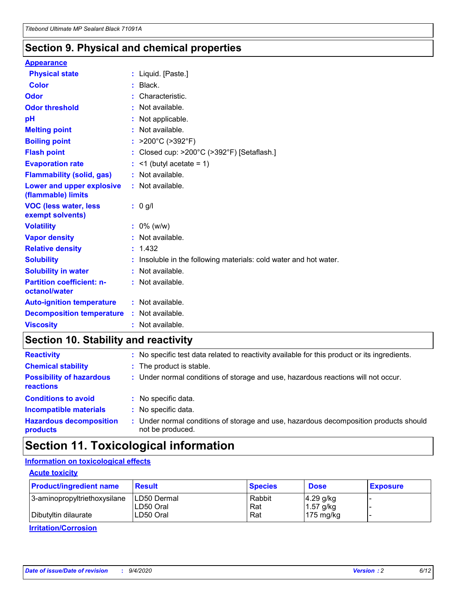### **Section 9. Physical and chemical properties**

#### **Appearance**

| <b>Physical state</b>                             | : Liquid. [Paste.]                                              |
|---------------------------------------------------|-----------------------------------------------------------------|
| <b>Color</b>                                      | $:$ Black.                                                      |
| Odor                                              | Characteristic.                                                 |
| <b>Odor threshold</b>                             | $:$ Not available.                                              |
| pH                                                | : Not applicable.                                               |
| <b>Melting point</b>                              | : Not available.                                                |
| <b>Boiling point</b>                              | : $>200^{\circ}$ C ( $>392^{\circ}$ F)                          |
| <b>Flash point</b>                                | : Closed cup: >200°C (>392°F) [Setaflash.]                      |
| <b>Evaporation rate</b>                           | $:$ <1 (butyl acetate = 1)                                      |
| <b>Flammability (solid, gas)</b>                  | : Not available.                                                |
| Lower and upper explosive<br>(flammable) limits   | : Not available.                                                |
| <b>VOC (less water, less</b><br>exempt solvents)  | $: 0$ g/l                                                       |
| <b>Volatility</b>                                 | $: 0\%$ (w/w)                                                   |
| <b>Vapor density</b>                              | : Not available.                                                |
| <b>Relative density</b>                           | : 1.432                                                         |
| <b>Solubility</b>                                 | Insoluble in the following materials: cold water and hot water. |
| <b>Solubility in water</b>                        | : Not available.                                                |
| <b>Partition coefficient: n-</b><br>octanol/water | : Not available.                                                |
| <b>Auto-ignition temperature</b>                  | : Not available.                                                |
| <b>Decomposition temperature</b>                  | : Not available.                                                |
| <b>Viscosity</b>                                  | $:$ Not available.                                              |

### **Section 10. Stability and reactivity**

| <b>Reactivity</b>                            | : No specific test data related to reactivity available for this product or its ingredients.              |
|----------------------------------------------|-----------------------------------------------------------------------------------------------------------|
| <b>Chemical stability</b>                    | : The product is stable.                                                                                  |
| <b>Possibility of hazardous</b><br>reactions | : Under normal conditions of storage and use, hazardous reactions will not occur.                         |
| <b>Conditions to avoid</b>                   | : No specific data.                                                                                       |
| <b>Incompatible materials</b>                | : No specific data.                                                                                       |
| <b>Hazardous decomposition</b><br>products   | : Under normal conditions of storage and use, hazardous decomposition products should<br>not be produced. |

### **Section 11. Toxicological information**

### **Information on toxicological effects**

#### **Acute toxicity**

| <b>Product/ingredient name</b> | <b>Result</b>           | <b>Species</b> | <b>Dose</b>                | <b>Exposure</b> |
|--------------------------------|-------------------------|----------------|----------------------------|-----------------|
| 3-aminopropyltriethoxysilane   | <b>ILD50 Dermal</b>     | Rabbit         | 4.29 g/kg                  |                 |
| Dibutyltin dilaurate           | ILD50 Oral<br>LD50 Oral | Rat<br>Rat     | $1.57$ g/kg<br>175 $mg/kg$ |                 |
|                                |                         |                |                            |                 |

**Irritation/Corrosion**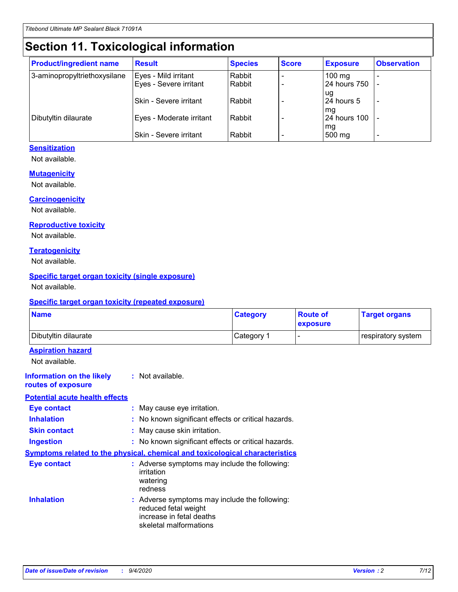# **Section 11. Toxicological information**

| <b>Product/ingredient name</b> | <b>Result</b>                 | <b>Species</b> | <b>Score</b> | <b>Exposure</b>  | <b>Observation</b> |
|--------------------------------|-------------------------------|----------------|--------------|------------------|--------------------|
| 3-aminopropyltriethoxysilane   | Eyes - Mild irritant          | Rabbit         |              | $100 \text{ mg}$ |                    |
|                                | Eyes - Severe irritant        | Rabbit         |              | 24 hours 750     |                    |
|                                |                               |                |              | ug               |                    |
|                                | <b>Skin - Severe irritant</b> | Rabbit         |              | 24 hours 5       | ٠                  |
|                                |                               |                |              | mq               |                    |
| Dibutyltin dilaurate           | Eyes - Moderate irritant      | Rabbit         |              | 24 hours 100     |                    |
|                                | <b>Skin - Severe irritant</b> | Rabbit         |              | mg<br>500 mg     |                    |
|                                |                               |                |              |                  |                    |

#### **Sensitization**

Not available.

#### **Mutagenicity**

Not available.

#### **Carcinogenicity**

Not available.

#### **Reproductive toxicity**

Not available.

#### **Teratogenicity**

Not available.

#### **Specific target organ toxicity (single exposure)**

Not available.

#### **Specific target organ toxicity (repeated exposure)**

| <b>Name</b>                                                                         |                                                                            | <b>Category</b>                                     | <b>Route of</b><br>exposure | <b>Target organs</b> |
|-------------------------------------------------------------------------------------|----------------------------------------------------------------------------|-----------------------------------------------------|-----------------------------|----------------------|
| Dibutyltin dilaurate                                                                |                                                                            | Category 1                                          |                             | respiratory system   |
| <b>Aspiration hazard</b><br>Not available.                                          |                                                                            |                                                     |                             |                      |
| <b>Information on the likely</b><br>routes of exposure                              | : Not available.                                                           |                                                     |                             |                      |
| <b>Potential acute health effects</b>                                               |                                                                            |                                                     |                             |                      |
| <b>Eye contact</b>                                                                  | : May cause eye irritation.                                                |                                                     |                             |                      |
| <b>Inhalation</b>                                                                   |                                                                            | : No known significant effects or critical hazards. |                             |                      |
| <b>Skin contact</b>                                                                 | : May cause skin irritation.                                               |                                                     |                             |                      |
| <b>Ingestion</b>                                                                    |                                                                            | : No known significant effects or critical hazards. |                             |                      |
| <b>Symptoms related to the physical, chemical and toxicological characteristics</b> |                                                                            |                                                     |                             |                      |
| <b>Eye contact</b>                                                                  | irritation<br>watering<br>redness                                          | : Adverse symptoms may include the following:       |                             |                      |
| <b>Inhalation</b>                                                                   | reduced fetal weight<br>increase in fetal deaths<br>skeletal malformations | : Adverse symptoms may include the following:       |                             |                      |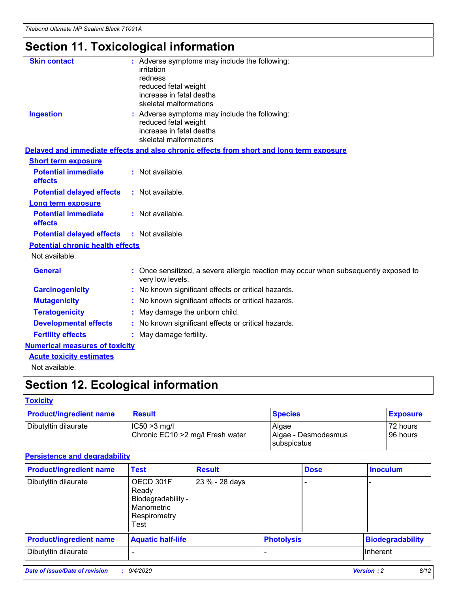# **Section 11. Toxicological information**

| <b>Skin contact</b>                     | : Adverse symptoms may include the following:<br>irritation                                              |
|-----------------------------------------|----------------------------------------------------------------------------------------------------------|
|                                         | redness                                                                                                  |
|                                         | reduced fetal weight                                                                                     |
|                                         | increase in fetal deaths                                                                                 |
|                                         | skeletal malformations                                                                                   |
| <b>Ingestion</b>                        | : Adverse symptoms may include the following:<br>reduced fetal weight                                    |
|                                         | increase in fetal deaths                                                                                 |
|                                         | skeletal malformations                                                                                   |
|                                         | Delayed and immediate effects and also chronic effects from short and long term exposure                 |
| <b>Short term exposure</b>              |                                                                                                          |
| <b>Potential immediate</b><br>effects   | : Not available.                                                                                         |
| <b>Potential delayed effects</b>        | : Not available.                                                                                         |
| Long term exposure                      |                                                                                                          |
| <b>Potential immediate</b>              | : Not available.                                                                                         |
| effects                                 |                                                                                                          |
| <b>Potential delayed effects</b>        | : Not available.                                                                                         |
| <b>Potential chronic health effects</b> |                                                                                                          |
| Not available.                          |                                                                                                          |
| <b>General</b>                          | : Once sensitized, a severe allergic reaction may occur when subsequently exposed to<br>very low levels. |
| <b>Carcinogenicity</b>                  | : No known significant effects or critical hazards.                                                      |
| <b>Mutagenicity</b>                     | No known significant effects or critical hazards.                                                        |
| <b>Teratogenicity</b>                   | May damage the unborn child.                                                                             |
| <b>Developmental effects</b>            | : No known significant effects or critical hazards.                                                      |
| <b>Fertility effects</b>                | : May damage fertility.                                                                                  |
| <b>Numerical measures of toxicity</b>   |                                                                                                          |
| <b>Acute toxicity estimates</b>         |                                                                                                          |
| .                                       |                                                                                                          |

Not available.

## **Section 12. Ecological information**

#### **Toxicity**

| <b>Product/ingredient name</b> | <b>Result</b>                                       | <b>Species</b>               | <b>Exposure</b>       |
|--------------------------------|-----------------------------------------------------|------------------------------|-----------------------|
| Dibutyltin dilaurate           | $ CC50>3$ mg/l<br>Chronic EC10 > 2 mg/l Fresh water | Algae<br>Algae - Desmodesmus | 72 hours<br>196 hours |
|                                |                                                     | <b>I</b> subspicatus         |                       |

#### **Persistence and degradability**

| <b>Product/ingredient name</b> | <b>Test</b>                                                                    | <b>Result</b>  |                   | <b>Dose</b> | <b>Inoculum</b>         |
|--------------------------------|--------------------------------------------------------------------------------|----------------|-------------------|-------------|-------------------------|
| Dibutyltin dilaurate           | OECD 301F<br>Ready<br>Biodegradability -<br>Manometric<br>Respirometry<br>Test | 23 % - 28 days |                   |             |                         |
| <b>Product/ingredient name</b> | <b>Aquatic half-life</b>                                                       |                | <b>Photolysis</b> |             | <b>Biodegradability</b> |
| Dibutyltin dilaurate           |                                                                                |                |                   |             | <b>Inherent</b>         |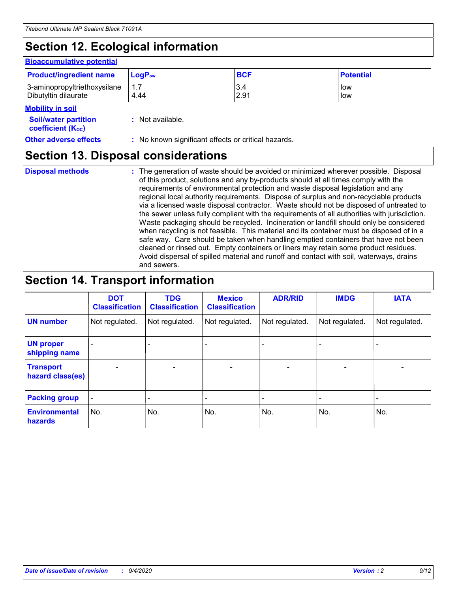# **Section 12. Ecological information**

#### **Bioaccumulative potential**

| <b>Product/ingredient name</b> | <b>LogP</b> <sub>ow</sub> | <b>BCF</b> | <b>Potential</b> |
|--------------------------------|---------------------------|------------|------------------|
| 3-aminopropyltriethoxysilane   | 4.44                      | 3.4        | low              |
| Dibutyltin dilaurate           |                           | 2.91       | low              |

#### **Mobility in soil**

| <b>Soil/water partition</b> | : Not available. |
|-----------------------------|------------------|
|-----------------------------|------------------|

| Other adverse effects | : No known significant effects or critical hazards. |  |
|-----------------------|-----------------------------------------------------|--|
|                       |                                                     |  |

### **Section 13. Disposal considerations**

**Disposal methods :**

**coefficient (KOC)**

The generation of waste should be avoided or minimized wherever possible. Disposal of this product, solutions and any by-products should at all times comply with the requirements of environmental protection and waste disposal legislation and any regional local authority requirements. Dispose of surplus and non-recyclable products via a licensed waste disposal contractor. Waste should not be disposed of untreated to the sewer unless fully compliant with the requirements of all authorities with jurisdiction. Waste packaging should be recycled. Incineration or landfill should only be considered when recycling is not feasible. This material and its container must be disposed of in a safe way. Care should be taken when handling emptied containers that have not been cleaned or rinsed out. Empty containers or liners may retain some product residues. Avoid dispersal of spilled material and runoff and contact with soil, waterways, drains and sewers.

### **Section 14. Transport information**

|                                      | <b>DOT</b><br><b>Classification</b> | <b>TDG</b><br><b>Classification</b> | <b>Mexico</b><br><b>Classification</b> | <b>ADR/RID</b>           | <b>IMDG</b>              | <b>IATA</b>    |
|--------------------------------------|-------------------------------------|-------------------------------------|----------------------------------------|--------------------------|--------------------------|----------------|
| <b>UN number</b>                     | Not regulated.                      | Not regulated.                      | Not regulated.                         | Not regulated.           | Not regulated.           | Not regulated. |
| <b>UN proper</b><br>shipping name    |                                     |                                     |                                        |                          |                          |                |
| <b>Transport</b><br>hazard class(es) |                                     | $\overline{\phantom{0}}$            | $\qquad \qquad \blacksquare$           | $\overline{\phantom{0}}$ | $\overline{\phantom{0}}$ |                |
| <b>Packing group</b>                 |                                     |                                     |                                        |                          |                          |                |
| <b>Environmental</b><br>hazards      | No.                                 | No.                                 | No.                                    | No.                      | No.                      | No.            |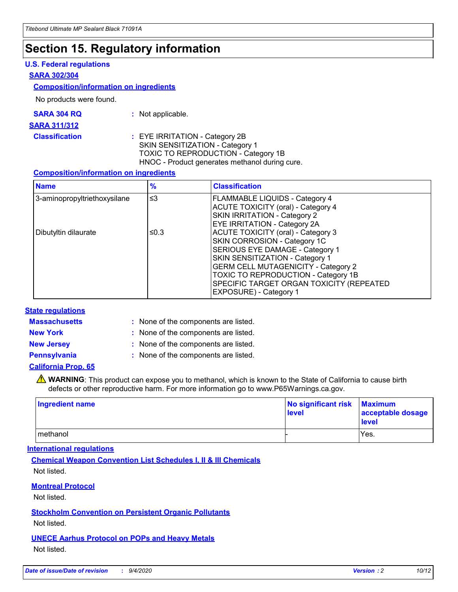### **Section 15. Regulatory information**

#### **U.S. Federal regulations**

#### **SARA 302/304**

#### **Composition/information on ingredients**

No products were found.

| SARA 304 RQ | Not applicable. |
|-------------|-----------------|
|-------------|-----------------|

#### **SARA 311/312**

#### **Classification :** EYE IRRITATION - Category 2B SKIN SENSITIZATION - Category 1 TOXIC TO REPRODUCTION - Category 1B HNOC - Product generates methanol during cure.

#### **Composition/information on ingredients**

| <b>Name</b>                  | $\frac{9}{6}$ | <b>Classification</b>                                                                                                                                                                                                                                                                                      |
|------------------------------|---------------|------------------------------------------------------------------------------------------------------------------------------------------------------------------------------------------------------------------------------------------------------------------------------------------------------------|
| 3-aminopropyltriethoxysilane | $\leq$ 3      | <b>FLAMMABLE LIQUIDS - Category 4</b><br><b>ACUTE TOXICITY (oral) - Category 4</b><br><b>SKIN IRRITATION - Category 2</b><br>EYE IRRITATION - Category 2A                                                                                                                                                  |
| Dibutyltin dilaurate         | ≤0.3          | <b>ACUTE TOXICITY (oral) - Category 3</b><br>SKIN CORROSION - Category 1C<br>SERIOUS EYE DAMAGE - Category 1<br>SKIN SENSITIZATION - Category 1<br><b>GERM CELL MUTAGENICITY - Category 2</b><br>TOXIC TO REPRODUCTION - Category 1B<br>SPECIFIC TARGET ORGAN TOXICITY (REPEATED<br>EXPOSURE) - Category 1 |

#### **State regulations**

**Massachusetts :**

: None of the components are listed.

**New York :** None of the components are listed. **New Jersey :** None of the components are listed.

**Pennsylvania :** None of the components are listed.

#### **California Prop. 65**

WARNING: This product can expose you to methanol, which is known to the State of California to cause birth defects or other reproductive harm. For more information go to www.P65Warnings.ca.gov.

| Ingredient name | No significant risk<br>level | <b>Maximum</b><br>acceptable dosage<br><b>level</b> |
|-----------------|------------------------------|-----------------------------------------------------|
| l methanol      |                              | Yes.                                                |

#### **International regulations**

**Chemical Weapon Convention List Schedules I, II & III Chemicals** Not listed.

#### **Montreal Protocol**

Not listed.

**Stockholm Convention on Persistent Organic Pollutants**

Not listed.

#### **UNECE Aarhus Protocol on POPs and Heavy Metals** Not listed.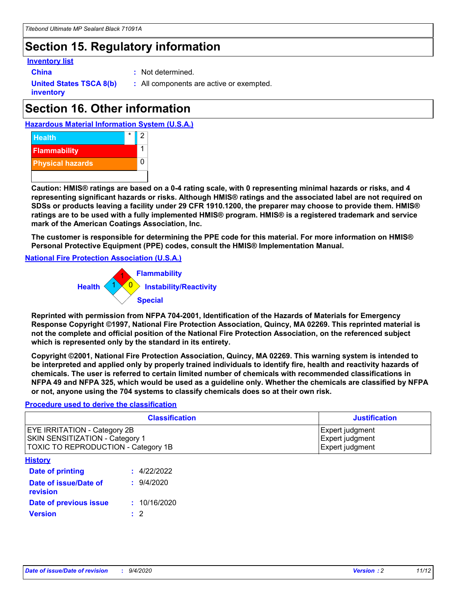### **Section 15. Regulatory information**

#### **Inventory list**

**China :** Not determined.

**United States TSCA 8(b) inventory**

**:** All components are active or exempted.

### **Section 16. Other information**





**Caution: HMIS® ratings are based on a 0-4 rating scale, with 0 representing minimal hazards or risks, and 4 representing significant hazards or risks. Although HMIS® ratings and the associated label are not required on SDSs or products leaving a facility under 29 CFR 1910.1200, the preparer may choose to provide them. HMIS® ratings are to be used with a fully implemented HMIS® program. HMIS® is a registered trademark and service mark of the American Coatings Association, Inc.**

**The customer is responsible for determining the PPE code for this material. For more information on HMIS® Personal Protective Equipment (PPE) codes, consult the HMIS® Implementation Manual.**

**National Fire Protection Association (U.S.A.)**



**Reprinted with permission from NFPA 704-2001, Identification of the Hazards of Materials for Emergency Response Copyright ©1997, National Fire Protection Association, Quincy, MA 02269. This reprinted material is not the complete and official position of the National Fire Protection Association, on the referenced subject which is represented only by the standard in its entirety.**

**Copyright ©2001, National Fire Protection Association, Quincy, MA 02269. This warning system is intended to be interpreted and applied only by properly trained individuals to identify fire, health and reactivity hazards of chemicals. The user is referred to certain limited number of chemicals with recommended classifications in NFPA 49 and NFPA 325, which would be used as a guideline only. Whether the chemicals are classified by NFPA or not, anyone using the 704 systems to classify chemicals does so at their own risk.**

#### **Procedure used to derive the classification**

| <b>Classification</b>                                                                                         | <b>Justification</b>                                  |
|---------------------------------------------------------------------------------------------------------------|-------------------------------------------------------|
| <b>EYE IRRITATION - Category 2B</b><br>SKIN SENSITIZATION - Category 1<br>TOXIC TO REPRODUCTION - Category 1B | Expert judgment<br>Expert judgment<br>Expert judgment |
| <b>History</b>                                                                                                |                                                       |

| .                                 |              |
|-----------------------------------|--------------|
| <b>Date of printing</b>           | : 4/22/2022  |
| Date of issue/Date of<br>revision | 9/4/2020     |
| Date of previous issue            | : 10/16/2020 |
| <b>Version</b>                    | $\cdot$ 2    |
|                                   |              |